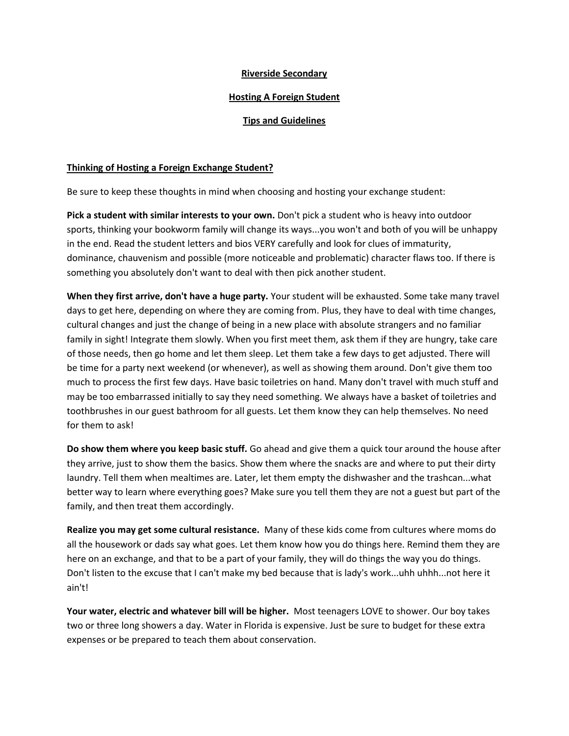## **Riverside Secondary**

## **Hosting A Foreign Student**

## **Tips and Guidelines**

## **Thinking of Hosting a Foreign Exchange Student?**

Be sure to keep these thoughts in mind when choosing and hosting your exchange student:

**Pick a student with similar interests to your own.** Don't pick a student who is heavy into outdoor sports, thinking your bookworm family will change its ways...you won't and both of you will be unhappy in the end. Read the student letters and bios VERY carefully and look for clues of immaturity, dominance, chauvenism and possible (more noticeable and problematic) character flaws too. If there is something you absolutely don't want to deal with then pick another student.

**When they first arrive, don't have a huge party.** Your student will be exhausted. Some take many travel days to get here, depending on where they are coming from. Plus, they have to deal with time changes, cultural changes and just the change of being in a new place with absolute strangers and no familiar family in sight! Integrate them slowly. When you first meet them, ask them if they are hungry, take care of those needs, then go home and let them sleep. Let them take a few days to get adjusted. There will be time for a party next weekend (or whenever), as well as showing them around. Don't give them too much to process the first few days. Have basic toiletries on hand. Many don't travel with much stuff and may be too embarrassed initially to say they need something. We always have a basket of toiletries and toothbrushes in our guest bathroom for all guests. Let them know they can help themselves. No need for them to ask!

**Do show them where you keep basic stuff.** Go ahead and give them a quick tour around the house after they arrive, just to show them the basics. Show them where the snacks are and where to put their dirty laundry. Tell them when mealtimes are. Later, let them empty the dishwasher and the trashcan...what better way to learn where everything goes? Make sure you tell them they are not a guest but part of the family, and then treat them accordingly.

**Realize you may get some cultural resistance.** Many of these kids come from cultures where moms do all the housework or dads say what goes. Let them know how you do things here. Remind them they are here on an exchange, and that to be a part of your family, they will do things the way you do things. Don't listen to the excuse that I can't make my bed because that is lady's work...uhh uhhh...not here it ain't!

**Your water, electric and whatever bill will be higher.** Most teenagers LOVE to shower. Our boy takes two or three long showers a day. Water in Florida is expensive. Just be sure to budget for these extra expenses or be prepared to teach them about conservation.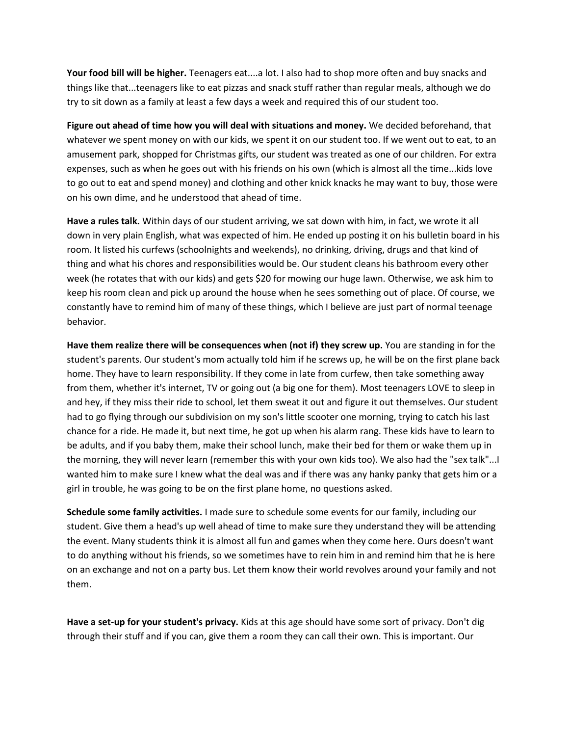**Your food bill will be higher.** Teenagers eat....a lot. I also had to shop more often and buy snacks and things like that...teenagers like to eat pizzas and snack stuff rather than regular meals, although we do try to sit down as a family at least a few days a week and required this of our student too.

**Figure out ahead of time how you will deal with situations and money.** We decided beforehand, that whatever we spent money on with our kids, we spent it on our student too. If we went out to eat, to an amusement park, shopped for Christmas gifts, our student was treated as one of our children. For extra expenses, such as when he goes out with his friends on his own (which is almost all the time...kids love to go out to eat and spend money) and clothing and other knick knacks he may want to buy, those were on his own dime, and he understood that ahead of time.

**Have a rules talk.** Within days of our student arriving, we sat down with him, in fact, we wrote it all down in very plain English, what was expected of him. He ended up posting it on his bulletin board in his room. It listed his curfews (schoolnights and weekends), no drinking, driving, drugs and that kind of thing and what his chores and responsibilities would be. Our student cleans his bathroom every other week (he rotates that with our kids) and gets \$20 for mowing our huge lawn. Otherwise, we ask him to keep his room clean and pick up around the house when he sees something out of place. Of course, we constantly have to remind him of many of these things, which I believe are just part of normal teenage behavior.

**Have them realize there will be consequences when (not if) they screw up.** You are standing in for the student's parents. Our student's mom actually told him if he screws up, he will be on the first plane back home. They have to learn responsibility. If they come in late from curfew, then take something away from them, whether it's internet, TV or going out (a big one for them). Most teenagers LOVE to sleep in and hey, if they miss their ride to school, let them sweat it out and figure it out themselves. Our student had to go flying through our subdivision on my son's little scooter one morning, trying to catch his last chance for a ride. He made it, but next time, he got up when his alarm rang. These kids have to learn to be adults, and if you baby them, make their school lunch, make their bed for them or wake them up in the morning, they will never learn (remember this with your own kids too). We also had the "sex talk"...I wanted him to make sure I knew what the deal was and if there was any hanky panky that gets him or a girl in trouble, he was going to be on the first plane home, no questions asked.

**Schedule some family activities.** I made sure to schedule some events for our family, including our student. Give them a head's up well ahead of time to make sure they understand they will be attending the event. Many students think it is almost all fun and games when they come here. Ours doesn't want to do anything without his friends, so we sometimes have to rein him in and remind him that he is here on an exchange and not on a party bus. Let them know their world revolves around your family and not them.

**Have a set-up for your student's privacy.** Kids at this age should have some sort of privacy. Don't dig through their stuff and if you can, give them a room they can call their own. This is important. Our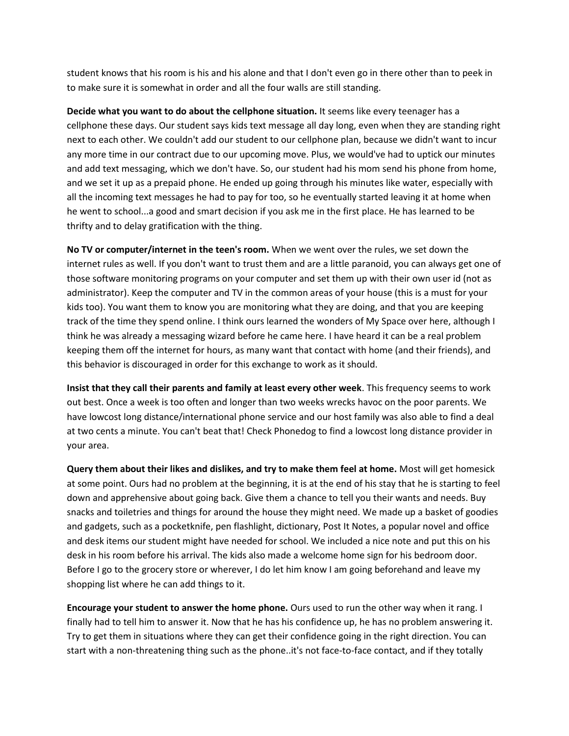student knows that his room is his and his alone and that I don't even go in there other than to peek in to make sure it is somewhat in order and all the four walls are still standing.

**Decide what you want to do about the cellphone situation.** It seems like every teenager has a cellphone these days. Our student says kids text message all day long, even when they are standing right next to each other. We couldn't add our student to our cellphone plan, because we didn't want to incur any more time in our contract due to our upcoming move. Plus, we would've had to uptick our minutes and add text messaging, which we don't have. So, our student had his mom send his phone from home, and we set it up as a prepaid phone. He ended up going through his minutes like water, especially with all the incoming text messages he had to pay for too, so he eventually started leaving it at home when he went to school...a good and smart decision if you ask me in the first place. He has learned to be thrifty and to delay gratification with the thing.

**No TV or computer/internet in the teen's room.** When we went over the rules, we set down the internet rules as well. If you don't want to trust them and are a little paranoid, you can always get one of those software monitoring programs on your computer and set them up with their own user id (not as administrator). Keep the computer and TV in the common areas of your house (this is a must for your kids too). You want them to know you are monitoring what they are doing, and that you are keeping track of the time they spend online. I think ours learned the wonders of My Space over here, although I think he was already a messaging wizard before he came here. I have heard it can be a real problem keeping them off the internet for hours, as many want that contact with home (and their friends), and this behavior is discouraged in order for this exchange to work as it should.

**Insist that they call their parents and family at least every other week**. This frequency seems to work out best. Once a week is too often and longer than two weeks wrecks havoc on the poor parents. We have lowcost long distance/international phone service and our host family was also able to find a deal at two cents a minute. You can't beat that! Check Phonedog to find a lowcost long distance provider in your area.

**Query them about their likes and dislikes, and try to make them feel at home.** Most will get homesick at some point. Ours had no problem at the beginning, it is at the end of his stay that he is starting to feel down and apprehensive about going back. Give them a chance to tell you their wants and needs. Buy snacks and toiletries and things for around the house they might need. We made up a basket of goodies and gadgets, such as a pocketknife, pen flashlight, dictionary, Post It Notes, a popular novel and office and desk items our student might have needed for school. We included a nice note and put this on his desk in his room before his arrival. The kids also made a welcome home sign for his bedroom door. Before I go to the grocery store or wherever, I do let him know I am going beforehand and leave my shopping list where he can add things to it.

**Encourage your student to answer the home phone.** Ours used to run the other way when it rang. I finally had to tell him to answer it. Now that he has his confidence up, he has no problem answering it. Try to get them in situations where they can get their confidence going in the right direction. You can start with a non-threatening thing such as the phone..it's not face-to-face contact, and if they totally